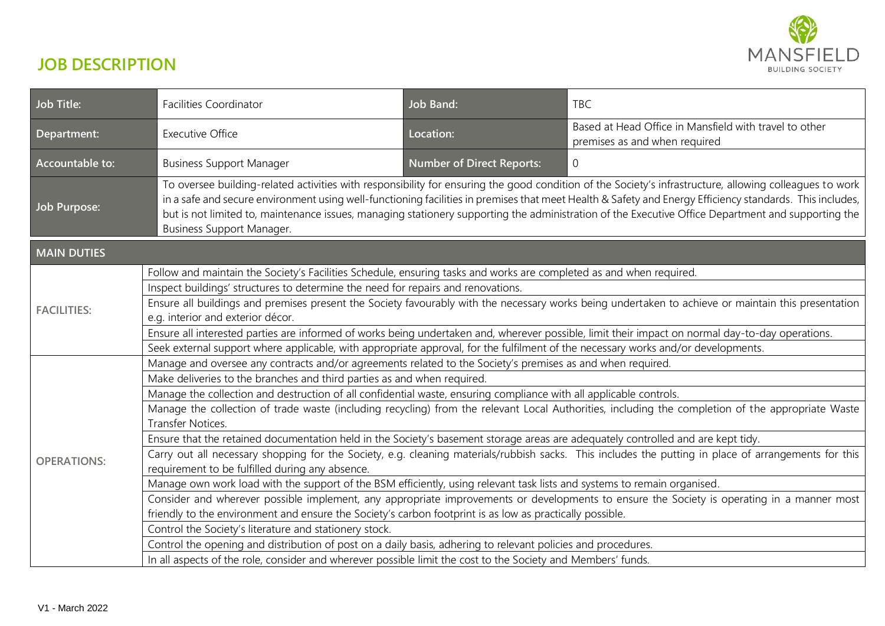

## **JOB DESCRIPTION**

| Job Title:         | <b>Facilities Coordinator</b>                                                                                                                                                                                                                                                                                                                                                                                                                                                                          | <b>Job Band:</b>                 | <b>TBC</b>                                                                              |  |  |
|--------------------|--------------------------------------------------------------------------------------------------------------------------------------------------------------------------------------------------------------------------------------------------------------------------------------------------------------------------------------------------------------------------------------------------------------------------------------------------------------------------------------------------------|----------------------------------|-----------------------------------------------------------------------------------------|--|--|
| Department:        | <b>Executive Office</b>                                                                                                                                                                                                                                                                                                                                                                                                                                                                                | Location:                        | Based at Head Office in Mansfield with travel to other<br>premises as and when required |  |  |
| Accountable to:    | <b>Business Support Manager</b>                                                                                                                                                                                                                                                                                                                                                                                                                                                                        | <b>Number of Direct Reports:</b> | $\Omega$                                                                                |  |  |
| Job Purpose:       | To oversee building-related activities with responsibility for ensuring the good condition of the Society's infrastructure, allowing colleagues to work<br>in a safe and secure environment using well-functioning facilities in premises that meet Health & Safety and Energy Efficiency standards. This includes,<br>but is not limited to, maintenance issues, managing stationery supporting the administration of the Executive Office Department and supporting the<br>Business Support Manager. |                                  |                                                                                         |  |  |
| <b>MAIN DUTIES</b> |                                                                                                                                                                                                                                                                                                                                                                                                                                                                                                        |                                  |                                                                                         |  |  |
|                    | Follow and maintain the Society's Facilities Schedule, ensuring tasks and works are completed as and when required.                                                                                                                                                                                                                                                                                                                                                                                    |                                  |                                                                                         |  |  |
| <b>FACILITIES:</b> | Inspect buildings' structures to determine the need for repairs and renovations.                                                                                                                                                                                                                                                                                                                                                                                                                       |                                  |                                                                                         |  |  |
|                    | Ensure all buildings and premises present the Society favourably with the necessary works being undertaken to achieve or maintain this presentation<br>e.g. interior and exterior décor.                                                                                                                                                                                                                                                                                                               |                                  |                                                                                         |  |  |
|                    | Ensure all interested parties are informed of works being undertaken and, wherever possible, limit their impact on normal day-to-day operations.                                                                                                                                                                                                                                                                                                                                                       |                                  |                                                                                         |  |  |
|                    | Seek external support where applicable, with appropriate approval, for the fulfilment of the necessary works and/or developments.                                                                                                                                                                                                                                                                                                                                                                      |                                  |                                                                                         |  |  |
| <b>OPERATIONS:</b> | Manage and oversee any contracts and/or agreements related to the Society's premises as and when required.                                                                                                                                                                                                                                                                                                                                                                                             |                                  |                                                                                         |  |  |
|                    | Make deliveries to the branches and third parties as and when required.                                                                                                                                                                                                                                                                                                                                                                                                                                |                                  |                                                                                         |  |  |
|                    | Manage the collection and destruction of all confidential waste, ensuring compliance with all applicable controls.                                                                                                                                                                                                                                                                                                                                                                                     |                                  |                                                                                         |  |  |
|                    | Manage the collection of trade waste (including recycling) from the relevant Local Authorities, including the completion of the appropriate Waste<br><b>Transfer Notices.</b>                                                                                                                                                                                                                                                                                                                          |                                  |                                                                                         |  |  |
|                    | Ensure that the retained documentation held in the Society's basement storage areas are adequately controlled and are kept tidy.                                                                                                                                                                                                                                                                                                                                                                       |                                  |                                                                                         |  |  |
|                    | Carry out all necessary shopping for the Society, e.g. cleaning materials/rubbish sacks. This includes the putting in place of arrangements for this<br>requirement to be fulfilled during any absence.                                                                                                                                                                                                                                                                                                |                                  |                                                                                         |  |  |
|                    | Manage own work load with the support of the BSM efficiently, using relevant task lists and systems to remain organised.                                                                                                                                                                                                                                                                                                                                                                               |                                  |                                                                                         |  |  |
|                    | Consider and wherever possible implement, any appropriate improvements or developments to ensure the Society is operating in a manner most                                                                                                                                                                                                                                                                                                                                                             |                                  |                                                                                         |  |  |
|                    | friendly to the environment and ensure the Society's carbon footprint is as low as practically possible.                                                                                                                                                                                                                                                                                                                                                                                               |                                  |                                                                                         |  |  |
|                    | Control the Society's literature and stationery stock.                                                                                                                                                                                                                                                                                                                                                                                                                                                 |                                  |                                                                                         |  |  |
|                    | Control the opening and distribution of post on a daily basis, adhering to relevant policies and procedures.                                                                                                                                                                                                                                                                                                                                                                                           |                                  |                                                                                         |  |  |
|                    | In all aspects of the role, consider and wherever possible limit the cost to the Society and Members' funds.                                                                                                                                                                                                                                                                                                                                                                                           |                                  |                                                                                         |  |  |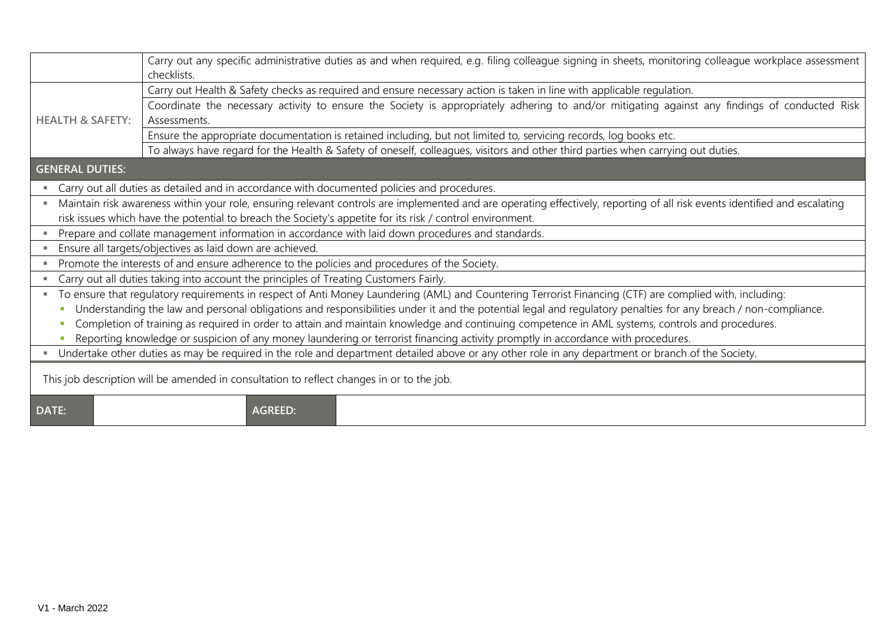|                                                                                                                                                                            | Carry out any specific administrative duties as and when required, e.g. filing colleague signing in sheets, monitoring colleague workplace assessment<br>checklists. |  |  |
|----------------------------------------------------------------------------------------------------------------------------------------------------------------------------|----------------------------------------------------------------------------------------------------------------------------------------------------------------------|--|--|
|                                                                                                                                                                            | Carry out Health & Safety checks as required and ensure necessary action is taken in line with applicable regulation.                                                |  |  |
|                                                                                                                                                                            | Coordinate the necessary activity to ensure the Society is appropriately adhering to and/or mitigating against any findings of conducted Risk                        |  |  |
| <b>HEALTH &amp; SAFETY:</b>                                                                                                                                                | Assessments.                                                                                                                                                         |  |  |
|                                                                                                                                                                            | Ensure the appropriate documentation is retained including, but not limited to, servicing records, log books etc.                                                    |  |  |
|                                                                                                                                                                            | To always have regard for the Health & Safety of oneself, colleagues, visitors and other third parties when carrying out duties.                                     |  |  |
| <b>GENERAL DUTIES:</b>                                                                                                                                                     |                                                                                                                                                                      |  |  |
| Carry out all duties as detailed and in accordance with documented policies and procedures.                                                                                |                                                                                                                                                                      |  |  |
| Maintain risk awareness within your role, ensuring relevant controls are implemented and are operating effectively, reporting of all risk events identified and escalating |                                                                                                                                                                      |  |  |
| risk issues which have the potential to breach the Society's appetite for its risk / control environment.                                                                  |                                                                                                                                                                      |  |  |
| Prepare and collate management information in accordance with laid down procedures and standards.                                                                          |                                                                                                                                                                      |  |  |
| Ensure all targets/objectives as laid down are achieved.                                                                                                                   |                                                                                                                                                                      |  |  |
| Promote the interests of and ensure adherence to the policies and procedures of the Society.                                                                               |                                                                                                                                                                      |  |  |
| Carry out all duties taking into account the principles of Treating Customers Fairly.                                                                                      |                                                                                                                                                                      |  |  |
| To ensure that regulatory requirements in respect of Anti Money Laundering (AML) and Countering Terrorist Financing (CTF) are complied with, including:                    |                                                                                                                                                                      |  |  |
| Understanding the law and personal obligations and responsibilities under it and the potential legal and regulatory penalties for any breach / non-compliance.             |                                                                                                                                                                      |  |  |
| Completion of training as required in order to attain and maintain knowledge and continuing competence in AML systems, controls and procedures.                            |                                                                                                                                                                      |  |  |
| Reporting knowledge or suspicion of any money laundering or terrorist financing activity promptly in accordance with procedures.                                           |                                                                                                                                                                      |  |  |
| Undertake other duties as may be required in the role and department detailed above or any other role in any department or branch of the Society.                          |                                                                                                                                                                      |  |  |
| This job description will be amended in consultation to reflect changes in or to the job.                                                                                  |                                                                                                                                                                      |  |  |
| <b>DATE:</b>                                                                                                                                                               | <b>AGREED:</b>                                                                                                                                                       |  |  |